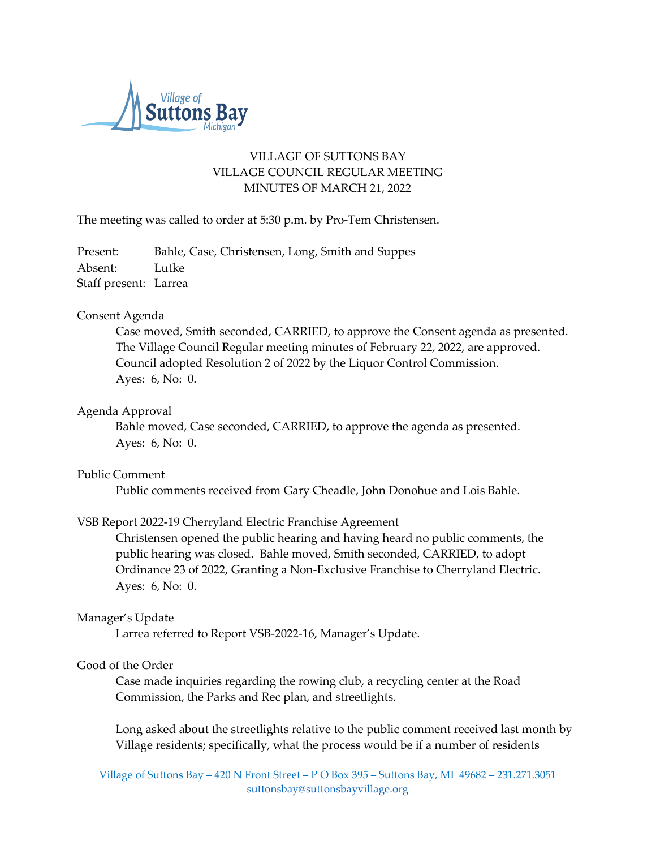

# VILLAGE OF SUTTONS BAY VILLAGE COUNCIL REGULAR MEETING MINUTES OF MARCH 21, 2022

The meeting was called to order at 5:30 p.m. by Pro-Tem Christensen.

Present: Bahle, Case, Christensen, Long, Smith and Suppes Absent: Lutke Staff present: Larrea

## Consent Agenda

Case moved, Smith seconded, CARRIED, to approve the Consent agenda as presented. The Village Council Regular meeting minutes of February 22, 2022, are approved. Council adopted Resolution 2 of 2022 by the Liquor Control Commission. Ayes: 6, No: 0.

### Agenda Approval

Bahle moved, Case seconded, CARRIED, to approve the agenda as presented. Ayes: 6, No: 0.

### Public Comment

Public comments received from Gary Cheadle, John Donohue and Lois Bahle.

### VSB Report 2022-19 Cherryland Electric Franchise Agreement

Christensen opened the public hearing and having heard no public comments, the public hearing was closed. Bahle moved, Smith seconded, CARRIED, to adopt Ordinance 23 of 2022, Granting a Non-Exclusive Franchise to Cherryland Electric. Ayes: 6, No: 0.

### Manager's Update

Larrea referred to Report VSB-2022-16, Manager's Update.

### Good of the Order

Case made inquiries regarding the rowing club, a recycling center at the Road Commission, the Parks and Rec plan, and streetlights.

Long asked about the streetlights relative to the public comment received last month by Village residents; specifically, what the process would be if a number of residents